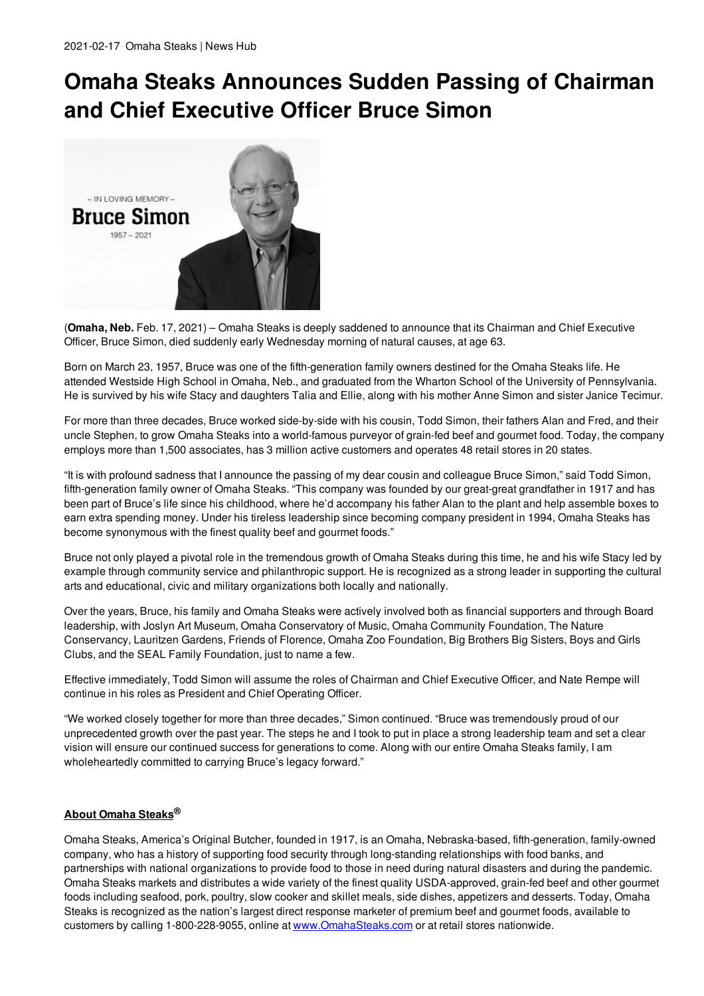## **Omaha Steaks Announces Sudden Passing of Chairman and Chief Executive Officer Bruce Simon**



(**Omaha, Neb.** Feb. 17, 2021) – Omaha Steaks is deeply saddened to announce that its Chairman and Chief Executive Officer, Bruce Simon, died suddenly early Wednesday morning of natural causes, at age 63.

Born on March 23, 1957, Bruce was one of the fifth-generation family owners destined for the Omaha Steaks life. He attended Westside High School in Omaha, Neb., and graduated from the Wharton School of the University of Pennsylvania. He is survived by his wife Stacy and daughters Talia and Ellie, along with his mother Anne Simon and sister Janice Tecimur.

For more than three decades, Bruce worked side-by-side with his cousin, Todd Simon, their fathers Alan and Fred, and their uncle Stephen, to grow Omaha Steaks into a world-famous purveyor of grain-fed beef and gourmet food. Today, the company employs more than 1,500 associates, has 3 million active customers and operates 48 retail stores in 20 states.

"It is with profound sadness that I announce the passing of my dear cousin and colleague Bruce Simon," said Todd Simon, fifth-generation family owner of Omaha Steaks. "This company was founded by our great-great grandfather in 1917 and has been part of Bruce's life since his childhood, where he'd accompany his father Alan to the plant and help assemble boxes to earn extra spending money. Under his tireless leadership since becoming company president in 1994, Omaha Steaks has become synonymous with the finest quality beef and gourmet foods."

Bruce not only played a pivotal role in the tremendous growth of Omaha Steaks during this time, he and his wife Stacy led by example through community service and philanthropic support. He is recognized as a strong leader in supporting the cultural arts and educational, civic and military organizations both locally and nationally.

Over the years, Bruce, his family and Omaha Steaks were actively involved both as financial supporters and through Board leadership, with Joslyn Art Museum, Omaha Conservatory of Music, Omaha Community Foundation, The Nature Conservancy, Lauritzen Gardens, Friends of Florence, Omaha Zoo Foundation, Big Brothers Big Sisters, Boys and Girls Clubs, and the SEAL Family Foundation, just to name a few.

Effective immediately, Todd Simon will assume the roles of Chairman and Chief Executive Officer, and Nate Rempe will continue in his roles as President and Chief Operating Officer.

"We worked closely together for more than three decades," Simon continued. "Bruce was tremendously proud of our unprecedented growth over the past year. The steps he and I took to put in place a strong leadership team and set a clear vision will ensure our continued success for generations to come. Along with our entire Omaha Steaks family, I am wholeheartedly committed to carrying Bruce's legacy forward."

## **About Omaha Steaks®**

Omaha Steaks, America's Original Butcher, founded in 1917, is an Omaha, Nebraska-based, fifth-generation, family-owned company, who has a history of supporting food security through long-standing relationships with food banks, and partnerships with national organizations to provide food to those in need during natural disasters and during the pandemic. Omaha Steaks markets and distributes a wide variety of the finest quality USDA-approved, grain-fed beef and other gourmet foods including seafood, pork, poultry, slow cooker and skillet meals, side dishes, appetizers and desserts. Today, Omaha Steaks is recognized as the nation's largest direct response marketer of premium beef and gourmet foods, available to customers by calling 1-800-228-9055, online at www.OmahaSteaks.com or at retail stores nationwide.